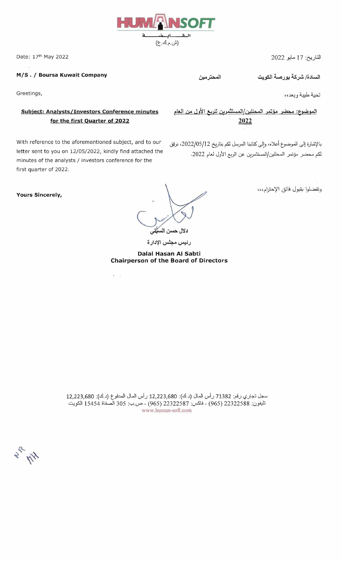

*MIS.* I **Boursa Kuwait Company** 

Greetings,

## المو<u>ضوع: محضر مؤتمر المحللين/المستثمرين للربع الأول من العام Subject: Analysts/Investors Conference minutes</u> **for the first Quarter of 2022 2022**

بالإشارة إلى الموضوع أعلاه، وإلى كتابنا المرسل لكم بتاريخ 2022/05/12، نرفق With reference to the aforementioned subject, and to our letter sent to you on 12/05/2022, kindly find attached the .2022 ~W J}';/\ C'yl d- l>'~I/~1 ~y. ~ minutes of the analysts / investors conference for the first quarter of 2022.

 $\hat{\mathbf{y}}$ 

**Yours Sincerely,** 

c». J ! دلال حسن اله

رئيس مجلس الإدارة

**Dalal Hasan AI Sabti Chairperson of the Board of Directors**  وتفضلوا بقبول فائق الإحترام،،،

سجل تجاري رقم: 71382 رأس المال (د.ك): 12,223,680 رأس المال المدفوع (د.ك): 12,223,680 تليفون: 22322588 (965) - فاكس: 22322587 (965) - ص.ب: 305 الصفاة 15454 الكويت www.human-soft.com

**Ally** 

التاريخ: 17 مايو 2022 2022 2013 17 :2022 2012 17 :20 Ate:

تحية طيبة وبعد،،

المحترمين

السادة/ شركة بورصة الكويت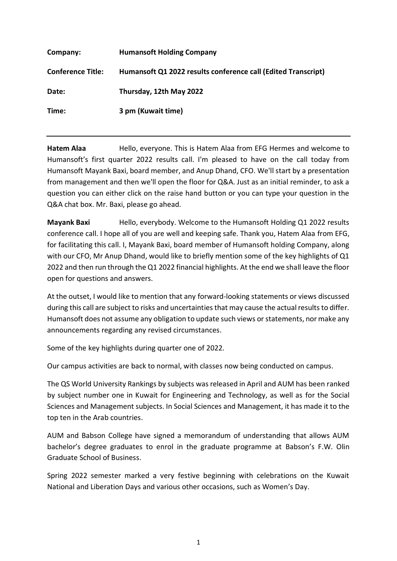| Company:                 | <b>Humansoft Holding Company</b>                              |
|--------------------------|---------------------------------------------------------------|
| <b>Conference Title:</b> | Humansoft Q1 2022 results conference call (Edited Transcript) |
| Date:                    | Thursday, 12th May 2022                                       |
| Time:                    | 3 pm (Kuwait time)                                            |

**Hatem Alaa** Hello, everyone. This is Hatem Alaa from EFG Hermes and welcome to Humansoft's first quarter 2022 results call. I'm pleased to have on the call today from Humansoft Mayank Baxi, board member, and Anup Dhand, CFO. We'll start by a presentation from management and then we'll open the floor for Q&A. Just as an initial reminder, to ask a question you can either click on the raise hand button or you can type your question in the Q&A chat box. Mr. Baxi, please go ahead.

**Mayank Baxi** Hello, everybody. Welcome to the Humansoft Holding Q1 2022 results conference call. I hope all of you are well and keeping safe. Thank you, Hatem Alaa from EFG, for facilitating this call. I, Mayank Baxi, board member of Humansoft holding Company, along with our CFO, Mr Anup Dhand, would like to briefly mention some of the key highlights of Q1 2022 and then run through the Q1 2022 financial highlights. At the end we shall leave the floor open for questions and answers.

At the outset, I would like to mention that any forward-looking statements or views discussed during this call are subject to risks and uncertainties that may cause the actual results to differ. Humansoft does not assume any obligation to update such views or statements, nor make any announcements regarding any revised circumstances.

Some of the key highlights during quarter one of 2022.

Our campus activities are back to normal, with classes now being conducted on campus.

The QS World University Rankings by subjects was released in April and AUM has been ranked by subject number one in Kuwait for Engineering and Technology, as well as for the Social Sciences and Management subjects. In Social Sciences and Management, it has made it to the top ten in the Arab countries.

AUM and Babson College have signed a memorandum of understanding that allows AUM bachelor's degree graduates to enrol in the graduate programme at Babson's F.W. Olin Graduate School of Business.

Spring 2022 semester marked a very festive beginning with celebrations on the Kuwait National and Liberation Days and various other occasions, such as Women's Day.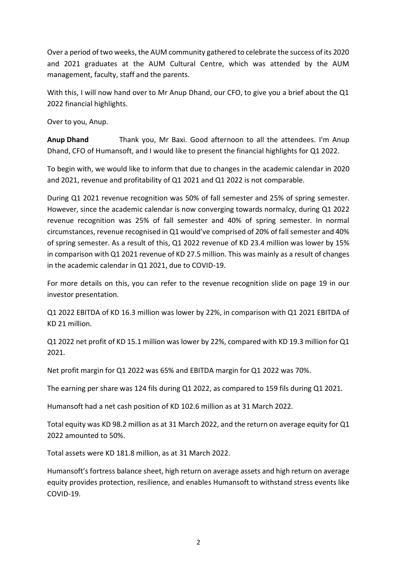Over a period of two weeks, the AUM community gathered to celebrate the success of its 2020 and 2021 graduates at the AUM Cultural Centre, which was attended by the AUM management, faculty, staff and the parents.

With this, I will now hand over to Mr Anup Dhand, our CFO, to give you a brief about the Q1 2022 financial highlights.

Over to you, Anup.

**Anup Dhand** Thank you, Mr Baxi. Good afternoon to all the attendees. I'm Anup Dhand, CFO of Humansoft, and I would like to present the financial highlights for Q1 2022.

To begin with, we would like to inform that due to changes in the academic calendar in 2020 and 2021, revenue and profitability of Q1 2021 and Q1 2022 is not comparable.

During Q1 2021 revenue recognition was 50% of fall semester and 25% of spring semester. However, since the academic calendar is now converging towards normalcy, during Q1 2022 revenue recognition was 25% of fall semester and 40% of spring semester. In normal circumstances, revenue recognised in Q1 would've comprised of 20% of fall semester and 40% of spring semester. As a result of this, Q1 2022 revenue of KD 23.4 million was lower by 15% in comparison with Q1 2021 revenue of KD 27.5 million. This was mainly as a result of changes in the academic calendar in Q1 2021, due to COVID-19.

For more details on this, you can refer to the revenue recognition slide on page 19 in our investor presentation.

Q1 2022 EBITDA of KD 16.3 million was lower by 22%, in comparison with Q1 2021 EBITDA of KD 21 million.

Q1 2022 net profit of KD 15.1 million was lower by 22%, compared with KD 19.3 million for Q1 2021.

Net profit margin for Q1 2022 was 65% and EBITDA margin for Q1 2022 was 70%.

The earning per share was 124 fils during Q1 2022, as compared to 159 fils during Q1 2021.

Humansoft had a net cash position of KD 102.6 million as at 31 March 2022.

Total equity was KD 98.2 million as at 31 March 2022, and the return on average equity for Q1 2022 amounted to 50%.

Total assets were KD 181.8 million, as at 31 March 2022.

Humansoft's fortress balance sheet, high return on average assets and high return on average equity provides protection, resilience, and enables Humansoft to withstand stress events like COVID-19.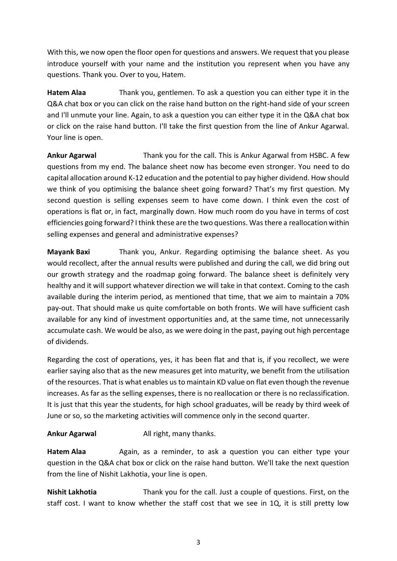With this, we now open the floor open for questions and answers. We request that you please introduce yourself with your name and the institution you represent when you have any questions. Thank you. Over to you, Hatem.

**Hatem Alaa** Thank you, gentlemen. To ask a question you can either type it in the Q&A chat box or you can click on the raise hand button on the right-hand side of your screen and I'll unmute your line. Again, to ask a question you can either type it in the Q&A chat box or click on the raise hand button. I'll take the first question from the line of Ankur Agarwal. Your line is open.

**Ankur Agarwal** Thank you for the call. This is Ankur Agarwal from HSBC. A few questions from my end. The balance sheet now has become even stronger. You need to do capital allocation around K-12 education and the potential to pay higher dividend. How should we think of you optimising the balance sheet going forward? That's my first question. My second question is selling expenses seem to have come down. I think even the cost of operations is flat or, in fact, marginally down. How much room do you have in terms of cost efficiencies going forward? I think these are the two questions. Was there a reallocation within selling expenses and general and administrative expenses?

**Mayank Baxi** Thank you, Ankur. Regarding optimising the balance sheet. As you would recollect, after the annual results were published and during the call, we did bring out our growth strategy and the roadmap going forward. The balance sheet is definitely very healthy and it will support whatever direction we will take in that context. Coming to the cash available during the interim period, as mentioned that time, that we aim to maintain a 70% pay-out. That should make us quite comfortable on both fronts. We will have sufficient cash available for any kind of investment opportunities and, at the same time, not unnecessarily accumulate cash. We would be also, as we were doing in the past, paying out high percentage of dividends.

Regarding the cost of operations, yes, it has been flat and that is, if you recollect, we were earlier saying also that as the new measures get into maturity, we benefit from the utilisation of the resources. That is what enables us to maintain KD value on flat even though the revenue increases. As far as the selling expenses, there is no reallocation or there is no reclassification. It is just that this year the students, for high school graduates, will be ready by third week of June or so, so the marketing activities will commence only in the second quarter.

## **Ankur Agarwal All right, many thanks.**

Hatem Alaa Again, as a reminder, to ask a question you can either type your question in the Q&A chat box or click on the raise hand button. We'll take the next question from the line of Nishit Lakhotia, your line is open.

**Nishit Lakhotia** Thank you for the call. Just a couple of questions. First, on the staff cost. I want to know whether the staff cost that we see in 1Q, it is still pretty low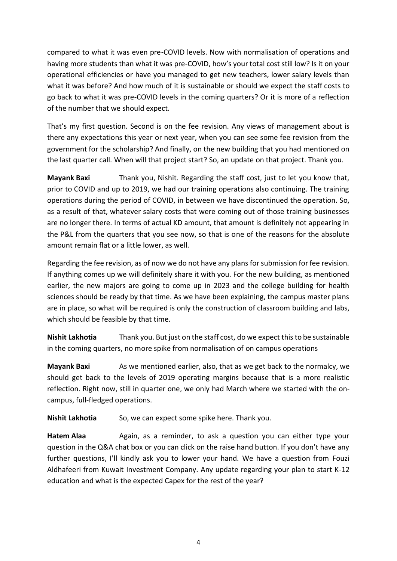compared to what it was even pre-COVID levels. Now with normalisation of operations and having more students than what it was pre-COVID, how's your total cost still low? Is it on your operational efficiencies or have you managed to get new teachers, lower salary levels than what it was before? And how much of it is sustainable or should we expect the staff costs to go back to what it was pre-COVID levels in the coming quarters? Or it is more of a reflection of the number that we should expect.

That's my first question. Second is on the fee revision. Any views of management about is there any expectations this year or next year, when you can see some fee revision from the government for the scholarship? And finally, on the new building that you had mentioned on the last quarter call. When will that project start? So, an update on that project. Thank you.

**Mayank Baxi** Thank you, Nishit. Regarding the staff cost, just to let you know that, prior to COVID and up to 2019, we had our training operations also continuing. The training operations during the period of COVID, in between we have discontinued the operation. So, as a result of that, whatever salary costs that were coming out of those training businesses are no longer there. In terms of actual KD amount, that amount is definitely not appearing in the P&L from the quarters that you see now, so that is one of the reasons for the absolute amount remain flat or a little lower, as well.

Regarding the fee revision, as of now we do not have any plans for submission for fee revision. If anything comes up we will definitely share it with you. For the new building, as mentioned earlier, the new majors are going to come up in 2023 and the college building for health sciences should be ready by that time. As we have been explaining, the campus master plans are in place, so what will be required is only the construction of classroom building and labs, which should be feasible by that time.

**Nishit Lakhotia** Thank you. But just on the staff cost, do we expect this to be sustainable in the coming quarters, no more spike from normalisation of on campus operations

**Mayank Baxi** As we mentioned earlier, also, that as we get back to the normalcy, we should get back to the levels of 2019 operating margins because that is a more realistic reflection. Right now, still in quarter one, we only had March where we started with the oncampus, full-fledged operations.

**Nishit Lakhotia** So, we can expect some spike here. Thank you.

Hatem Alaa Again, as a reminder, to ask a question you can either type your question in the Q&A chat box or you can click on the raise hand button. If you don't have any further questions, I'll kindly ask you to lower your hand. We have a question from Fouzi Aldhafeeri from Kuwait Investment Company. Any update regarding your plan to start K-12 education and what is the expected Capex for the rest of the year?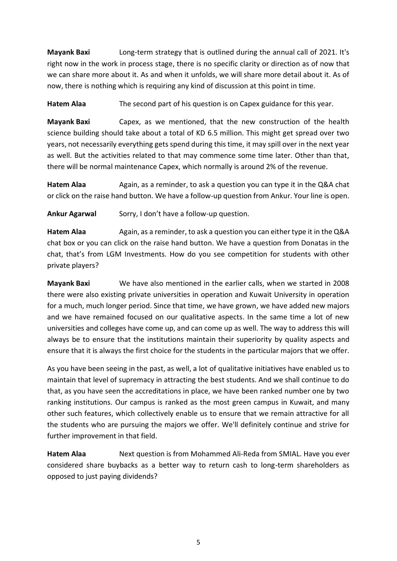**Mayank Baxi** Long-term strategy that is outlined during the annual call of 2021. It's right now in the work in process stage, there is no specific clarity or direction as of now that we can share more about it. As and when it unfolds, we will share more detail about it. As of now, there is nothing which is requiring any kind of discussion at this point in time.

**Hatem Alaa** The second part of his question is on Capex guidance for this year.

**Mayank Baxi** Capex, as we mentioned, that the new construction of the health science building should take about a total of KD 6.5 million. This might get spread over two years, not necessarily everything gets spend during this time, it may spill over in the next year as well. But the activities related to that may commence some time later. Other than that, there will be normal maintenance Capex, which normally is around 2% of the revenue.

**Hatem Alaa** Again, as a reminder, to ask a question you can type it in the Q&A chat or click on the raise hand button. We have a follow-up question from Ankur. Your line is open.

**Ankur Agarwal** Sorry, I don't have a follow-up question.

Hatem Alaa Again, as a reminder, to ask a question you can either type it in the Q&A chat box or you can click on the raise hand button. We have a question from Donatas in the chat, that's from LGM Investments. How do you see competition for students with other private players?

**Mayank Baxi** We have also mentioned in the earlier calls, when we started in 2008 there were also existing private universities in operation and Kuwait University in operation for a much, much longer period. Since that time, we have grown, we have added new majors and we have remained focused on our qualitative aspects. In the same time a lot of new universities and colleges have come up, and can come up as well. The way to address this will always be to ensure that the institutions maintain their superiority by quality aspects and ensure that it is always the first choice for the students in the particular majors that we offer.

As you have been seeing in the past, as well, a lot of qualitative initiatives have enabled us to maintain that level of supremacy in attracting the best students. And we shall continue to do that, as you have seen the accreditations in place, we have been ranked number one by two ranking institutions. Our campus is ranked as the most green campus in Kuwait, and many other such features, which collectively enable us to ensure that we remain attractive for all the students who are pursuing the majors we offer. We'll definitely continue and strive for further improvement in that field.

**Hatem Alaa** Next question is from Mohammed Ali-Reda from SMIAL. Have you ever considered share buybacks as a better way to return cash to long-term shareholders as opposed to just paying dividends?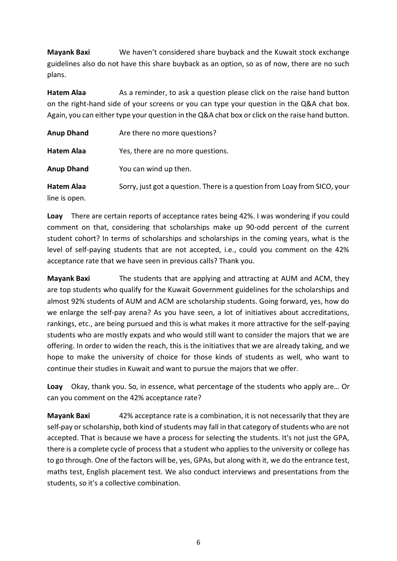**Mayank Baxi** We haven't considered share buyback and the Kuwait stock exchange guidelines also do not have this share buyback as an option, so as of now, there are no such plans.

**Hatem Alaa** As a reminder, to ask a question please click on the raise hand button on the right-hand side of your screens or you can type your question in the Q&A chat box. Again, you can either type your question in the Q&A chat box or click on the raise hand button.

| <b>Anup Dhand</b>                  | Are there no more questions?                                              |
|------------------------------------|---------------------------------------------------------------------------|
| Hatem Alaa                         | Yes, there are no more questions.                                         |
| <b>Anup Dhand</b>                  | You can wind up then.                                                     |
| <b>Hatem Alaa</b><br>line is open. | Sorry, just got a question. There is a question from Loay from SICO, your |

**Loay** There are certain reports of acceptance rates being 42%. I was wondering if you could comment on that, considering that scholarships make up 90-odd percent of the current student cohort? In terms of scholarships and scholarships in the coming years, what is the level of self-paying students that are not accepted, i.e., could you comment on the 42% acceptance rate that we have seen in previous calls? Thank you.

**Mayank Baxi** The students that are applying and attracting at AUM and ACM, they are top students who qualify for the Kuwait Government guidelines for the scholarships and almost 92% students of AUM and ACM are scholarship students. Going forward, yes, how do we enlarge the self-pay arena? As you have seen, a lot of initiatives about accreditations, rankings, etc., are being pursued and this is what makes it more attractive for the self-paying students who are mostly expats and who would still want to consider the majors that we are offering. In order to widen the reach, this is the initiatives that we are already taking, and we hope to make the university of choice for those kinds of students as well, who want to continue their studies in Kuwait and want to pursue the majors that we offer.

**Loay** Okay, thank you. So, in essence, what percentage of the students who apply are… Or can you comment on the 42% acceptance rate?

**Mayank Baxi** 42% acceptance rate is a combination, it is not necessarily that they are self-pay or scholarship, both kind of students may fall in that category of students who are not accepted. That is because we have a process for selecting the students. It's not just the GPA, there is a complete cycle of process that a student who applies to the university or college has to go through. One of the factors will be, yes, GPAs, but along with it, we do the entrance test, maths test, English placement test. We also conduct interviews and presentations from the students, so it's a collective combination.